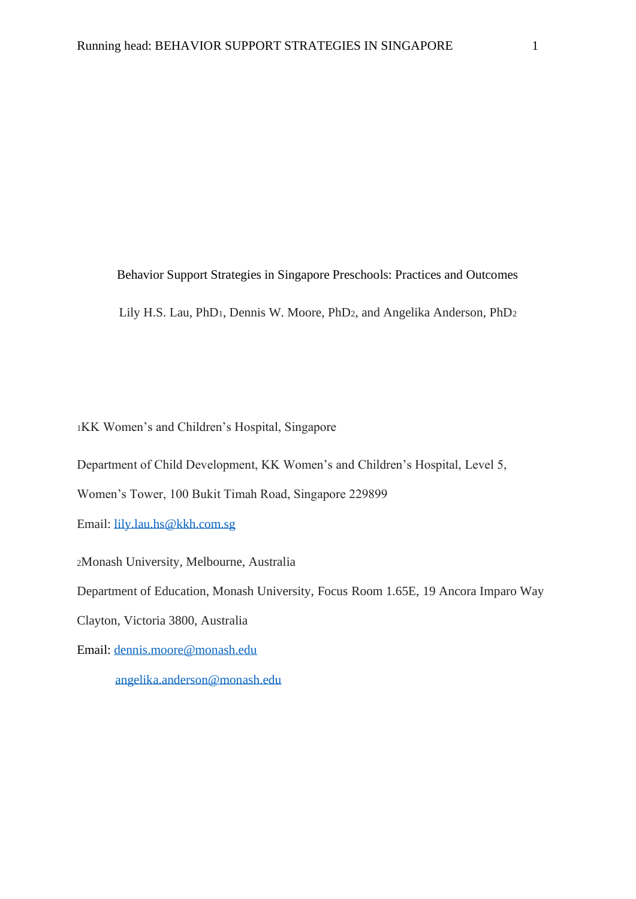Behavior Support Strategies in Singapore Preschools: Practices and Outcomes Lily H.S. Lau, PhD1, Dennis W. Moore, PhD2, and Angelika Anderson, PhD<sup>2</sup>

<sup>1</sup>KK Women's and Children's Hospital, Singapore

Department of Child Development, KK Women's and Children's Hospital, Level 5,

Women's Tower, 100 Bukit Timah Road, Singapore 229899

Email: [lily.lau.hs@kkh.com.sg](mailto:lily.lau.hs@kkh.com.sg)

<sup>2</sup>Monash University, Melbourne, Australia

Department of Education, Monash University, Focus Room 1.65E, 19 Ancora Imparo Way

Clayton, Victoria 3800, Australia

Email: [dennis.moore@monash.edu](mailto:dennis.moore@monash.edu)

[angelika.anderson@monash.edu](mailto:angelika.anderson@monash.edu)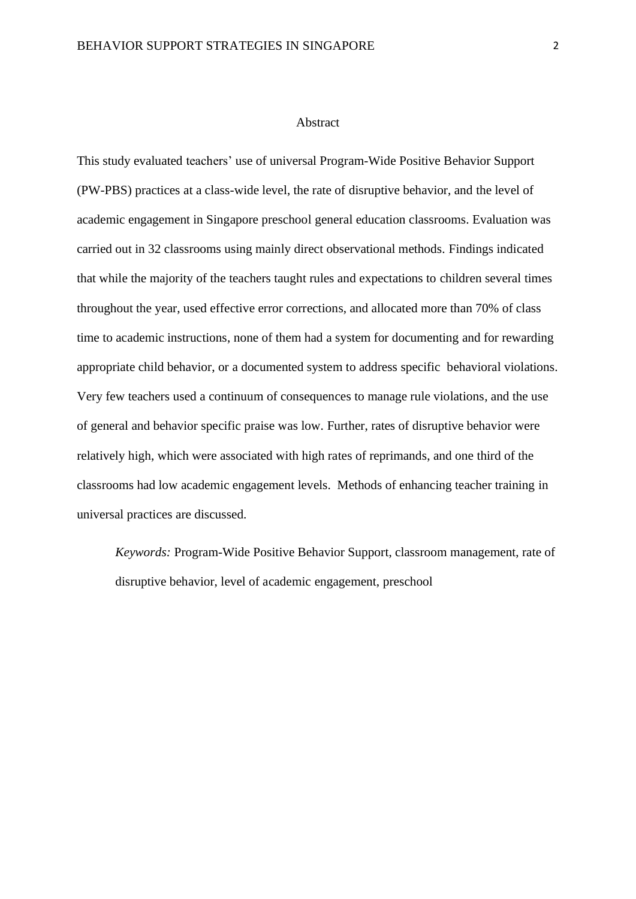#### **Abstract**

This study evaluated teachers' use of universal Program-Wide Positive Behavior Support (PW-PBS) practices at a class-wide level, the rate of disruptive behavior, and the level of academic engagement in Singapore preschool general education classrooms. Evaluation was carried out in 32 classrooms using mainly direct observational methods. Findings indicated that while the majority of the teachers taught rules and expectations to children several times throughout the year, used effective error corrections, and allocated more than 70% of class time to academic instructions, none of them had a system for documenting and for rewarding appropriate child behavior, or a documented system to address specific behavioral violations. Very few teachers used a continuum of consequences to manage rule violations, and the use of general and behavior specific praise was low. Further, rates of disruptive behavior were relatively high, which were associated with high rates of reprimands, and one third of the classrooms had low academic engagement levels. Methods of enhancing teacher training in universal practices are discussed.

*Keywords:* Program-Wide Positive Behavior Support, classroom management, rate of disruptive behavior, level of academic engagement, preschool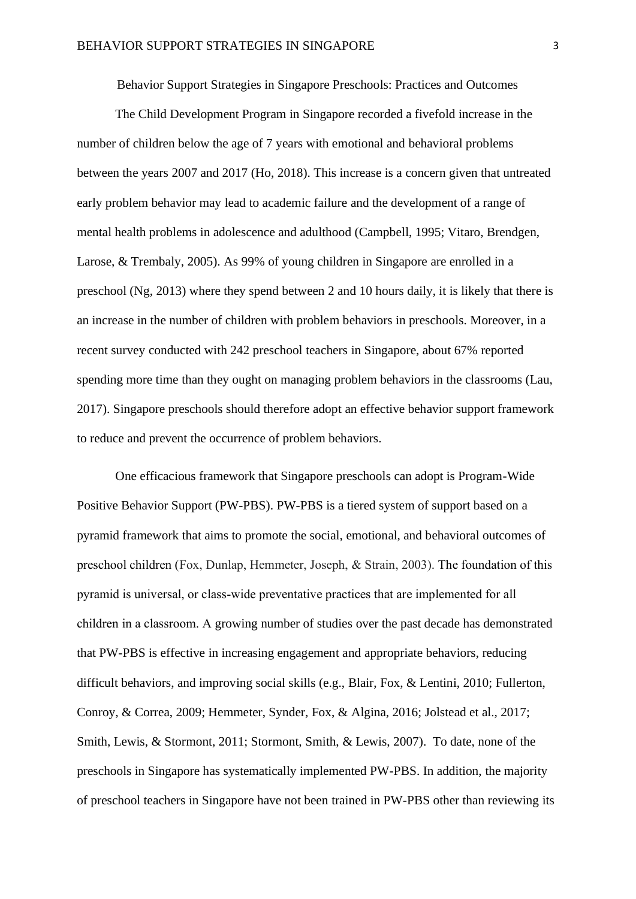Behavior Support Strategies in Singapore Preschools: Practices and Outcomes

The Child Development Program in Singapore recorded a fivefold increase in the number of children below the age of 7 years with emotional and behavioral problems between the years 2007 and 2017 (Ho, 2018). This increase is a concern given that untreated early problem behavior may lead to academic failure and the development of a range of mental health problems in adolescence and adulthood (Campbell, 1995; Vitaro, Brendgen, Larose, & Trembaly, 2005). As 99% of young children in Singapore are enrolled in a preschool (Ng, 2013) where they spend between 2 and 10 hours daily, it is likely that there is an increase in the number of children with problem behaviors in preschools. Moreover, in a recent survey conducted with 242 preschool teachers in Singapore, about 67% reported spending more time than they ought on managing problem behaviors in the classrooms (Lau, 2017). Singapore preschools should therefore adopt an effective behavior support framework to reduce and prevent the occurrence of problem behaviors.

One efficacious framework that Singapore preschools can adopt is Program-Wide Positive Behavior Support (PW-PBS). PW-PBS is a tiered system of support based on a pyramid framework that aims to promote the social, emotional, and behavioral outcomes of preschool children (Fox, Dunlap, Hemmeter, Joseph, & Strain, 2003). The foundation of this pyramid is universal, or class-wide preventative practices that are implemented for all children in a classroom. A growing number of studies over the past decade has demonstrated that PW-PBS is effective in increasing engagement and appropriate behaviors, reducing difficult behaviors, and improving social skills (e.g., Blair, Fox, & Lentini, 2010; Fullerton, Conroy, & Correa, 2009; Hemmeter, Synder, Fox, & Algina, 2016; Jolstead et al., 2017; Smith, Lewis, & Stormont, 2011; Stormont, Smith, & Lewis, 2007). To date, none of the preschools in Singapore has systematically implemented PW-PBS. In addition, the majority of preschool teachers in Singapore have not been trained in PW-PBS other than reviewing its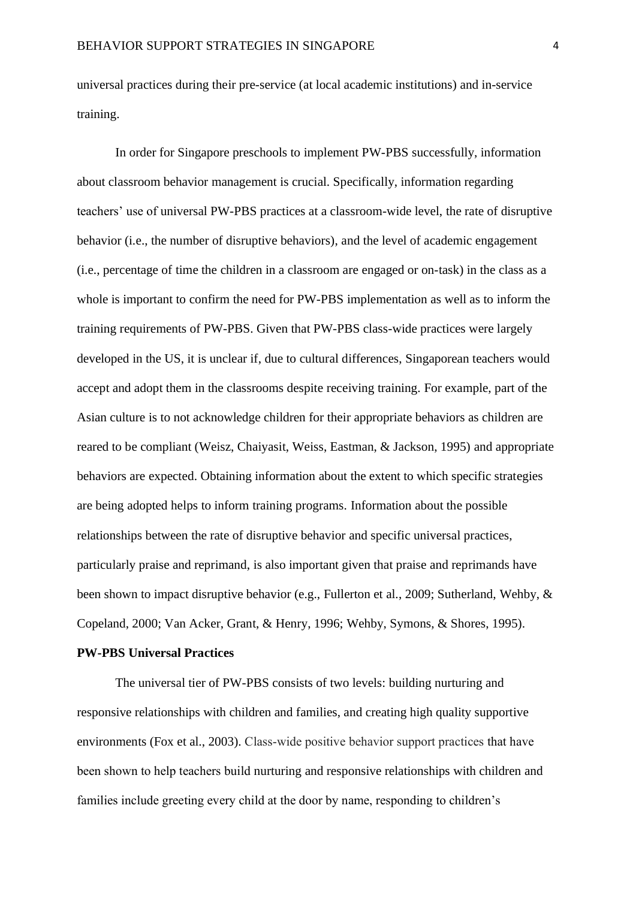universal practices during their pre-service (at local academic institutions) and in-service training.

In order for Singapore preschools to implement PW-PBS successfully, information about classroom behavior management is crucial. Specifically, information regarding teachers' use of universal PW-PBS practices at a classroom-wide level, the rate of disruptive behavior (i.e., the number of disruptive behaviors), and the level of academic engagement (i.e., percentage of time the children in a classroom are engaged or on-task) in the class as a whole is important to confirm the need for PW-PBS implementation as well as to inform the training requirements of PW-PBS. Given that PW-PBS class-wide practices were largely developed in the US, it is unclear if, due to cultural differences, Singaporean teachers would accept and adopt them in the classrooms despite receiving training. For example, part of the Asian culture is to not acknowledge children for their appropriate behaviors as children are reared to be compliant (Weisz, Chaiyasit, Weiss, Eastman, & Jackson, 1995) and appropriate behaviors are expected. Obtaining information about the extent to which specific strategies are being adopted helps to inform training programs. Information about the possible relationships between the rate of disruptive behavior and specific universal practices, particularly praise and reprimand, is also important given that praise and reprimands have been shown to impact disruptive behavior (e.g., Fullerton et al., 2009; Sutherland, Wehby, & Copeland, 2000; Van Acker, Grant, & Henry, 1996; Wehby, Symons, & Shores, 1995).

#### **PW-PBS Universal Practices**

The universal tier of PW-PBS consists of two levels: building nurturing and responsive relationships with children and families, and creating high quality supportive environments (Fox et al., 2003). Class-wide positive behavior support practices that have been shown to help teachers build nurturing and responsive relationships with children and families include greeting every child at the door by name, responding to children's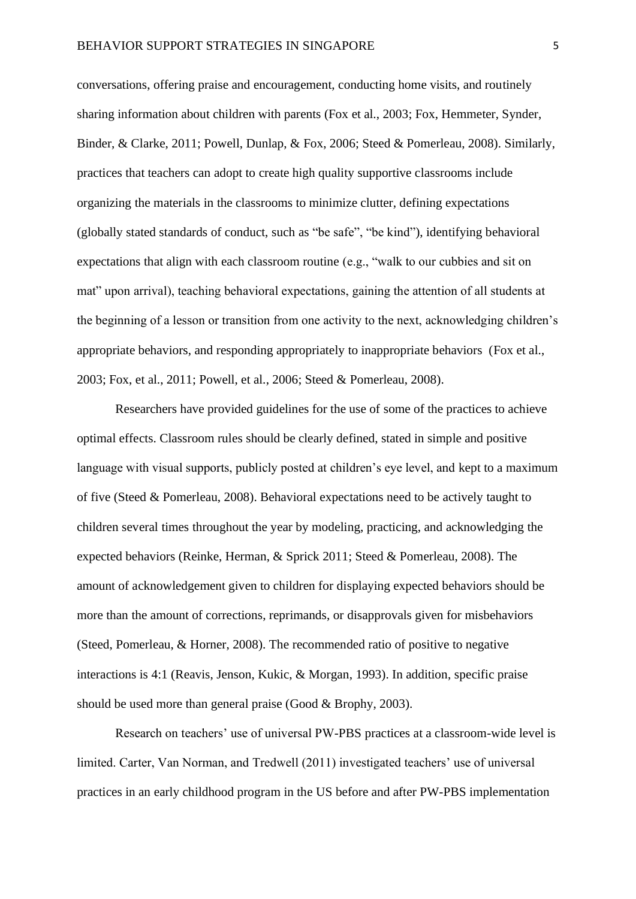conversations, offering praise and encouragement, conducting home visits, and routinely sharing information about children with parents (Fox et al., 2003; Fox, Hemmeter, Synder, Binder, & Clarke, 2011; Powell, Dunlap, & Fox, 2006; Steed & Pomerleau, 2008). Similarly, practices that teachers can adopt to create high quality supportive classrooms include organizing the materials in the classrooms to minimize clutter, defining expectations (globally stated standards of conduct, such as "be safe", "be kind"), identifying behavioral expectations that align with each classroom routine (e.g., "walk to our cubbies and sit on mat" upon arrival), teaching behavioral expectations, gaining the attention of all students at the beginning of a lesson or transition from one activity to the next, acknowledging children's appropriate behaviors, and responding appropriately to inappropriate behaviors (Fox et al., 2003; Fox, et al., 2011; Powell, et al., 2006; Steed & Pomerleau, 2008).

Researchers have provided guidelines for the use of some of the practices to achieve optimal effects. Classroom rules should be clearly defined, stated in simple and positive language with visual supports, publicly posted at children's eye level, and kept to a maximum of five (Steed & Pomerleau, 2008). Behavioral expectations need to be actively taught to children several times throughout the year by modeling, practicing, and acknowledging the expected behaviors (Reinke, Herman, & Sprick 2011; Steed & Pomerleau, 2008). The amount of acknowledgement given to children for displaying expected behaviors should be more than the amount of corrections, reprimands, or disapprovals given for misbehaviors (Steed, Pomerleau, & Horner, 2008). The recommended ratio of positive to negative interactions is 4:1 (Reavis, Jenson, Kukic, & Morgan, 1993). In addition, specific praise should be used more than general praise (Good & Brophy, 2003).

Research on teachers' use of universal PW-PBS practices at a classroom-wide level is limited. Carter, Van Norman, and Tredwell (2011) investigated teachers' use of universal practices in an early childhood program in the US before and after PW-PBS implementation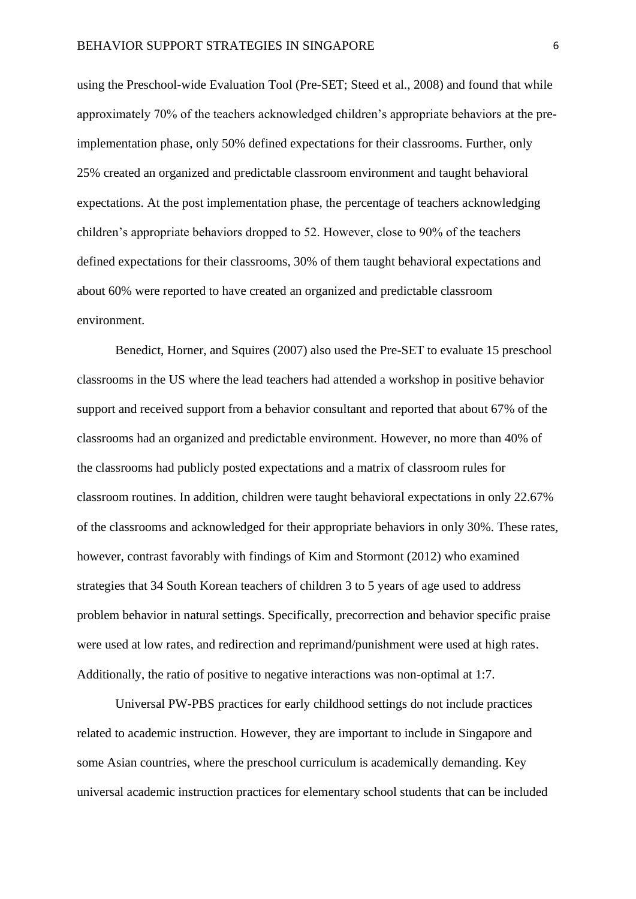using the Preschool-wide Evaluation Tool (Pre-SET; Steed et al., 2008) and found that while approximately 70% of the teachers acknowledged children's appropriate behaviors at the preimplementation phase, only 50% defined expectations for their classrooms. Further, only 25% created an organized and predictable classroom environment and taught behavioral expectations. At the post implementation phase, the percentage of teachers acknowledging children's appropriate behaviors dropped to 52. However, close to 90% of the teachers defined expectations for their classrooms, 30% of them taught behavioral expectations and about 60% were reported to have created an organized and predictable classroom environment.

Benedict, Horner, and Squires (2007) also used the Pre-SET to evaluate 15 preschool classrooms in the US where the lead teachers had attended a workshop in positive behavior support and received support from a behavior consultant and reported that about 67% of the classrooms had an organized and predictable environment. However, no more than 40% of the classrooms had publicly posted expectations and a matrix of classroom rules for classroom routines. In addition, children were taught behavioral expectations in only 22.67% of the classrooms and acknowledged for their appropriate behaviors in only 30%. These rates, however, contrast favorably with findings of Kim and Stormont (2012) who examined strategies that 34 South Korean teachers of children 3 to 5 years of age used to address problem behavior in natural settings. Specifically, precorrection and behavior specific praise were used at low rates, and redirection and reprimand/punishment were used at high rates. Additionally, the ratio of positive to negative interactions was non-optimal at 1:7.

Universal PW-PBS practices for early childhood settings do not include practices related to academic instruction. However, they are important to include in Singapore and some Asian countries, where the preschool curriculum is academically demanding. Key universal academic instruction practices for elementary school students that can be included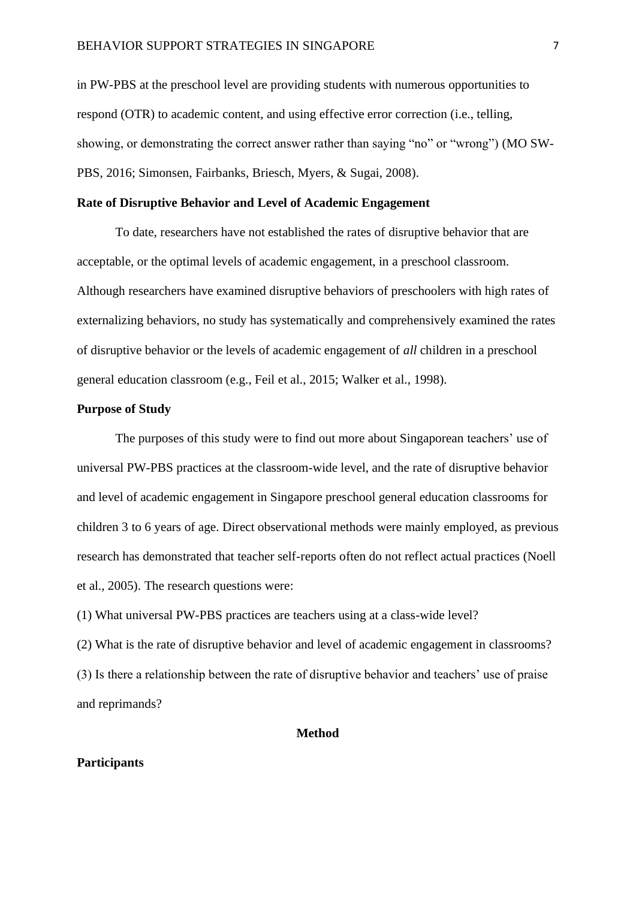in PW-PBS at the preschool level are providing students with numerous opportunities to respond (OTR) to academic content, and using effective error correction (i.e., telling, showing, or demonstrating the correct answer rather than saying "no" or "wrong") (MO SW-PBS, 2016; Simonsen, Fairbanks, Briesch, Myers, & Sugai, 2008).

## **Rate of Disruptive Behavior and Level of Academic Engagement**

To date, researchers have not established the rates of disruptive behavior that are acceptable, or the optimal levels of academic engagement, in a preschool classroom. Although researchers have examined disruptive behaviors of preschoolers with high rates of externalizing behaviors, no study has systematically and comprehensively examined the rates of disruptive behavior or the levels of academic engagement of *all* children in a preschool general education classroom (e.g., Feil et al., 2015; Walker et al., 1998).

# **Purpose of Study**

The purposes of this study were to find out more about Singaporean teachers' use of universal PW-PBS practices at the classroom-wide level, and the rate of disruptive behavior and level of academic engagement in Singapore preschool general education classrooms for children 3 to 6 years of age. Direct observational methods were mainly employed, as previous research has demonstrated that teacher self-reports often do not reflect actual practices (Noell et al., 2005). The research questions were:

(1) What universal PW-PBS practices are teachers using at a class-wide level?

(2) What is the rate of disruptive behavior and level of academic engagement in classrooms? (3) Is there a relationship between the rate of disruptive behavior and teachers' use of praise and reprimands?

### **Method**

#### **Participants**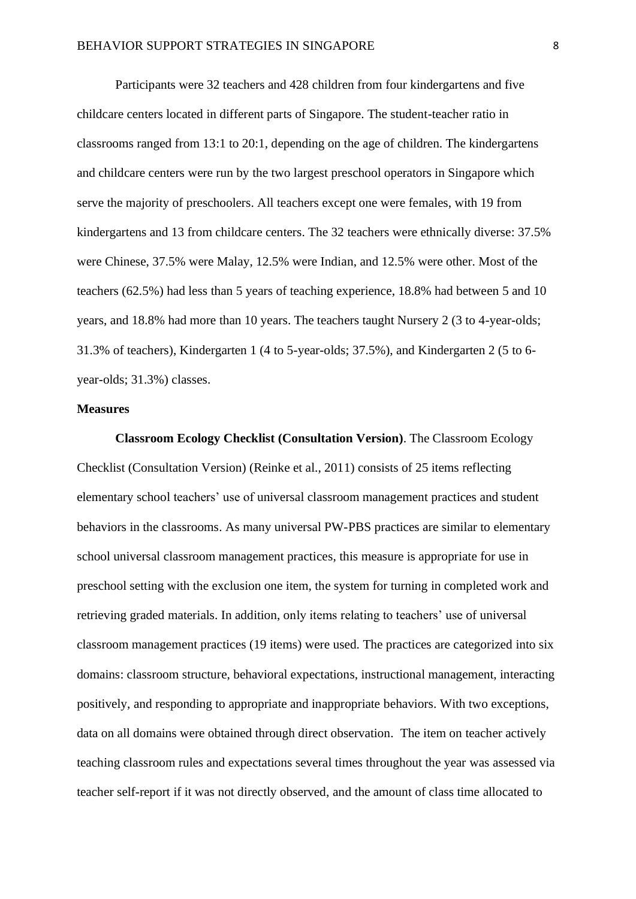Participants were 32 teachers and 428 children from four kindergartens and five childcare centers located in different parts of Singapore. The student-teacher ratio in classrooms ranged from 13:1 to 20:1, depending on the age of children. The kindergartens and childcare centers were run by the two largest preschool operators in Singapore which serve the majority of preschoolers. All teachers except one were females, with 19 from kindergartens and 13 from childcare centers. The 32 teachers were ethnically diverse: 37.5% were Chinese, 37.5% were Malay, 12.5% were Indian, and 12.5% were other. Most of the teachers (62.5%) had less than 5 years of teaching experience, 18.8% had between 5 and 10 years, and 18.8% had more than 10 years. The teachers taught Nursery 2 (3 to 4-year-olds; 31.3% of teachers), Kindergarten 1 (4 to 5-year-olds; 37.5%), and Kindergarten 2 (5 to 6 year-olds; 31.3%) classes.

# **Measures**

**Classroom Ecology Checklist (Consultation Version)**. The Classroom Ecology Checklist (Consultation Version) (Reinke et al., 2011) consists of 25 items reflecting elementary school teachers' use of universal classroom management practices and student behaviors in the classrooms. As many universal PW-PBS practices are similar to elementary school universal classroom management practices, this measure is appropriate for use in preschool setting with the exclusion one item, the system for turning in completed work and retrieving graded materials. In addition, only items relating to teachers' use of universal classroom management practices (19 items) were used. The practices are categorized into six domains: classroom structure, behavioral expectations, instructional management, interacting positively, and responding to appropriate and inappropriate behaviors. With two exceptions, data on all domains were obtained through direct observation. The item on teacher actively teaching classroom rules and expectations several times throughout the year was assessed via teacher self-report if it was not directly observed, and the amount of class time allocated to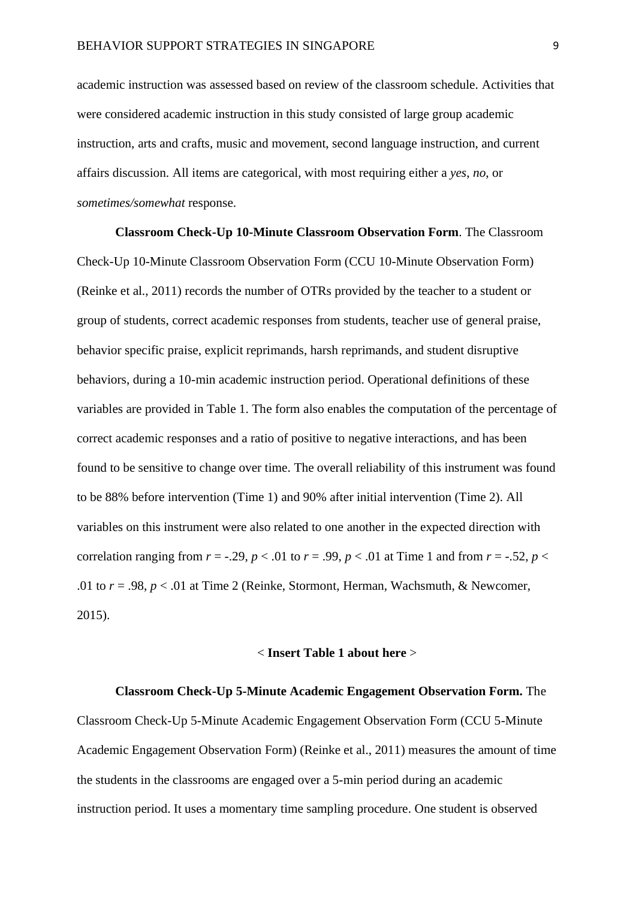academic instruction was assessed based on review of the classroom schedule. Activities that were considered academic instruction in this study consisted of large group academic instruction, arts and crafts, music and movement, second language instruction, and current affairs discussion. All items are categorical, with most requiring either a *yes*, *no*, or *sometimes/somewhat* response.

**Classroom Check-Up 10-Minute Classroom Observation Form**. The Classroom Check-Up 10-Minute Classroom Observation Form (CCU 10-Minute Observation Form) (Reinke et al., 2011) records the number of OTRs provided by the teacher to a student or group of students, correct academic responses from students, teacher use of general praise, behavior specific praise, explicit reprimands, harsh reprimands, and student disruptive behaviors, during a 10-min academic instruction period. Operational definitions of these variables are provided in Table 1. The form also enables the computation of the percentage of correct academic responses and a ratio of positive to negative interactions, and has been found to be sensitive to change over time. The overall reliability of this instrument was found to be 88% before intervention (Time 1) and 90% after initial intervention (Time 2). All variables on this instrument were also related to one another in the expected direction with correlation ranging from  $r = -0.29$ ,  $p < 0.01$  to  $r = 0.99$ ,  $p < 0.01$  at Time 1 and from  $r = -0.52$ ,  $p <$ .01 to  $r = .98$ ,  $p < .01$  at Time 2 (Reinke, Stormont, Herman, Wachsmuth, & Newcomer, 2015).

## < **Insert Table 1 about here** >

**Classroom Check-Up 5-Minute Academic Engagement Observation Form.** The Classroom Check-Up 5-Minute Academic Engagement Observation Form (CCU 5-Minute Academic Engagement Observation Form) (Reinke et al., 2011) measures the amount of time the students in the classrooms are engaged over a 5-min period during an academic instruction period. It uses a momentary time sampling procedure. One student is observed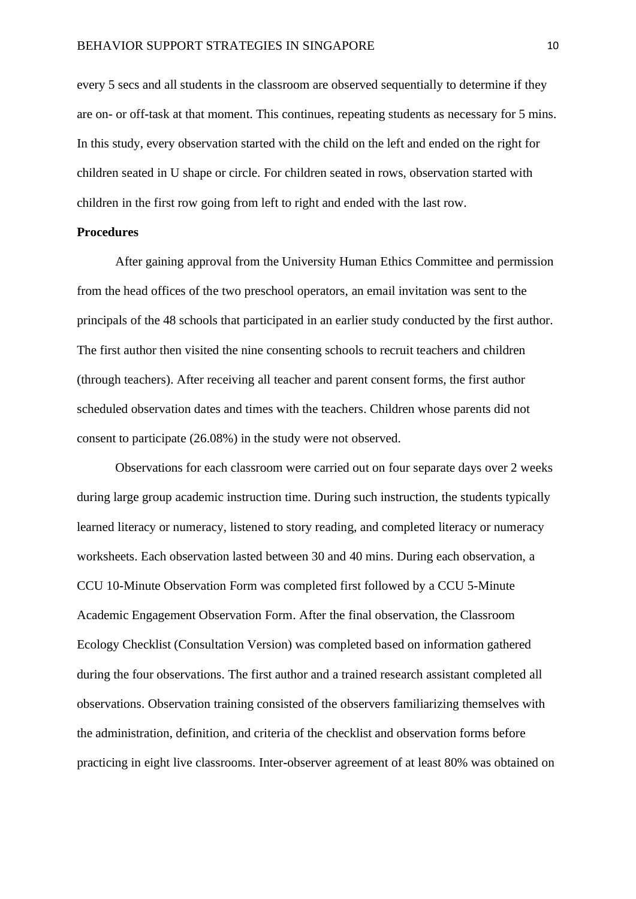every 5 secs and all students in the classroom are observed sequentially to determine if they are on- or off-task at that moment. This continues, repeating students as necessary for 5 mins. In this study, every observation started with the child on the left and ended on the right for children seated in U shape or circle. For children seated in rows, observation started with children in the first row going from left to right and ended with the last row.

# **Procedures**

After gaining approval from the University Human Ethics Committee and permission from the head offices of the two preschool operators, an email invitation was sent to the principals of the 48 schools that participated in an earlier study conducted by the first author. The first author then visited the nine consenting schools to recruit teachers and children (through teachers). After receiving all teacher and parent consent forms, the first author scheduled observation dates and times with the teachers. Children whose parents did not consent to participate (26.08%) in the study were not observed.

Observations for each classroom were carried out on four separate days over 2 weeks during large group academic instruction time. During such instruction, the students typically learned literacy or numeracy, listened to story reading, and completed literacy or numeracy worksheets. Each observation lasted between 30 and 40 mins. During each observation, a CCU 10-Minute Observation Form was completed first followed by a CCU 5-Minute Academic Engagement Observation Form. After the final observation, the Classroom Ecology Checklist (Consultation Version) was completed based on information gathered during the four observations. The first author and a trained research assistant completed all observations. Observation training consisted of the observers familiarizing themselves with the administration, definition, and criteria of the checklist and observation forms before practicing in eight live classrooms. Inter-observer agreement of at least 80% was obtained on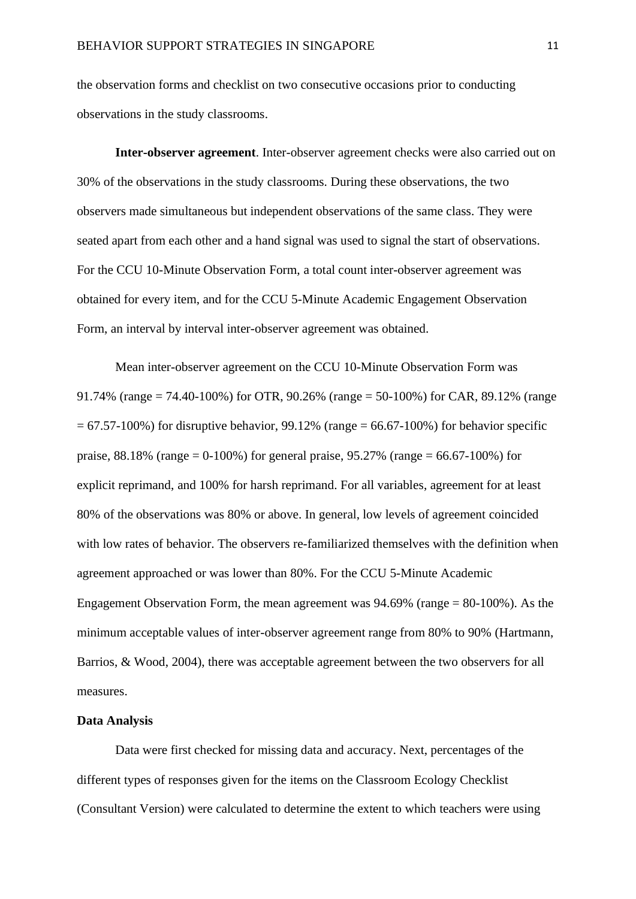the observation forms and checklist on two consecutive occasions prior to conducting observations in the study classrooms.

**Inter-observer agreement**. Inter-observer agreement checks were also carried out on 30% of the observations in the study classrooms. During these observations, the two observers made simultaneous but independent observations of the same class. They were seated apart from each other and a hand signal was used to signal the start of observations. For the CCU 10-Minute Observation Form, a total count inter-observer agreement was obtained for every item, and for the CCU 5-Minute Academic Engagement Observation Form, an interval by interval inter-observer agreement was obtained.

Mean inter-observer agreement on the CCU 10-Minute Observation Form was 91.74% (range = 74.40-100%) for OTR, 90.26% (range = 50-100%) for CAR, 89.12% (range  $= 67.57-100\%$ ) for disruptive behavior, 99.12% (range  $= 66.67-100\%$ ) for behavior specific praise,  $88.18\%$  (range = 0-100%) for general praise,  $95.27\%$  (range = 66.67-100%) for explicit reprimand, and 100% for harsh reprimand. For all variables, agreement for at least 80% of the observations was 80% or above. In general, low levels of agreement coincided with low rates of behavior. The observers re-familiarized themselves with the definition when agreement approached or was lower than 80%. For the CCU 5-Minute Academic Engagement Observation Form, the mean agreement was  $94.69\%$  (range  $= 80-100\%$ ). As the minimum acceptable values of inter-observer agreement range from 80% to 90% (Hartmann, Barrios, & Wood, 2004), there was acceptable agreement between the two observers for all measures.

# **Data Analysis**

Data were first checked for missing data and accuracy. Next, percentages of the different types of responses given for the items on the Classroom Ecology Checklist (Consultant Version) were calculated to determine the extent to which teachers were using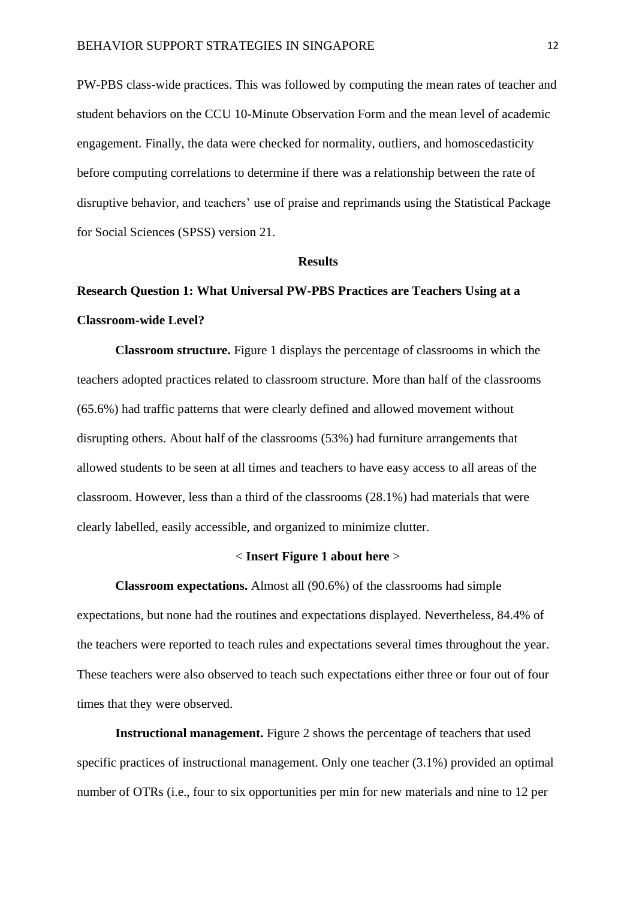PW-PBS class-wide practices. This was followed by computing the mean rates of teacher and student behaviors on the CCU 10-Minute Observation Form and the mean level of academic engagement. Finally, the data were checked for normality, outliers, and homoscedasticity before computing correlations to determine if there was a relationship between the rate of disruptive behavior, and teachers' use of praise and reprimands using the Statistical Package for Social Sciences (SPSS) version 21.

#### **Results**

# **Research Question 1: What Universal PW-PBS Practices are Teachers Using at a Classroom-wide Level?**

**Classroom structure.** Figure 1 displays the percentage of classrooms in which the teachers adopted practices related to classroom structure. More than half of the classrooms (65.6%) had traffic patterns that were clearly defined and allowed movement without disrupting others. About half of the classrooms (53%) had furniture arrangements that allowed students to be seen at all times and teachers to have easy access to all areas of the classroom. However, less than a third of the classrooms (28.1%) had materials that were clearly labelled, easily accessible, and organized to minimize clutter.

### < **Insert Figure 1 about here** >

**Classroom expectations.** Almost all (90.6%) of the classrooms had simple expectations, but none had the routines and expectations displayed. Nevertheless, 84.4% of the teachers were reported to teach rules and expectations several times throughout the year. These teachers were also observed to teach such expectations either three or four out of four times that they were observed.

**Instructional management.** Figure 2 shows the percentage of teachers that used specific practices of instructional management. Only one teacher (3.1%) provided an optimal number of OTRs (i.e., four to six opportunities per min for new materials and nine to 12 per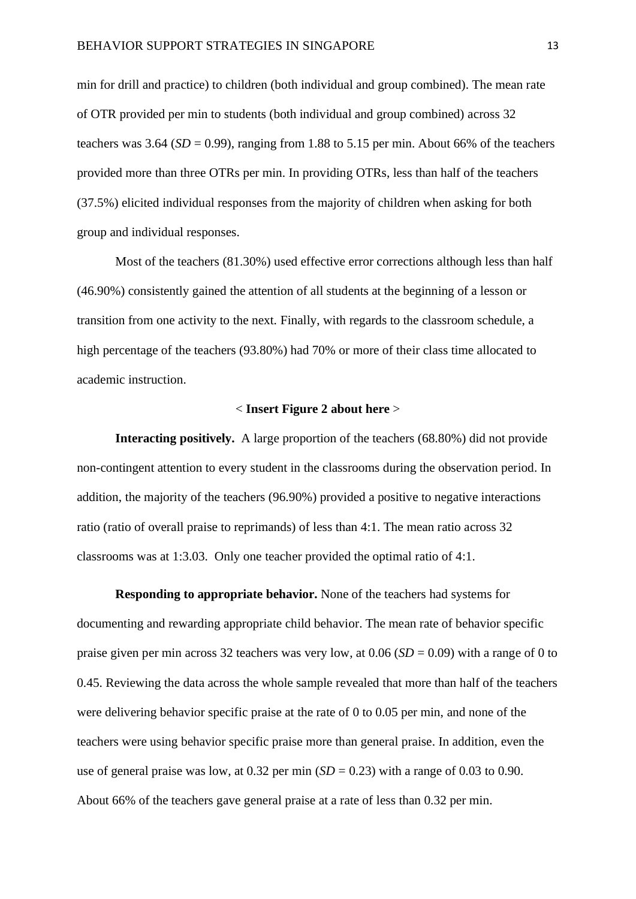min for drill and practice) to children (both individual and group combined). The mean rate of OTR provided per min to students (both individual and group combined) across 32 teachers was 3.64 ( $SD = 0.99$ ), ranging from 1.88 to 5.15 per min. About 66% of the teachers provided more than three OTRs per min. In providing OTRs, less than half of the teachers (37.5%) elicited individual responses from the majority of children when asking for both group and individual responses.

Most of the teachers (81.30%) used effective error corrections although less than half (46.90%) consistently gained the attention of all students at the beginning of a lesson or transition from one activity to the next. Finally, with regards to the classroom schedule, a high percentage of the teachers (93.80%) had 70% or more of their class time allocated to academic instruction.

#### < **Insert Figure 2 about here** >

**Interacting positively.** A large proportion of the teachers (68.80%) did not provide non-contingent attention to every student in the classrooms during the observation period. In addition, the majority of the teachers (96.90%) provided a positive to negative interactions ratio (ratio of overall praise to reprimands) of less than 4:1. The mean ratio across 32 classrooms was at 1:3.03. Only one teacher provided the optimal ratio of 4:1.

**Responding to appropriate behavior.** None of the teachers had systems for documenting and rewarding appropriate child behavior. The mean rate of behavior specific praise given per min across 32 teachers was very low, at 0.06 (*SD* = 0.09) with a range of 0 to 0.45. Reviewing the data across the whole sample revealed that more than half of the teachers were delivering behavior specific praise at the rate of 0 to 0.05 per min, and none of the teachers were using behavior specific praise more than general praise. In addition, even the use of general praise was low, at  $0.32$  per min  $(SD = 0.23)$  with a range of  $0.03$  to  $0.90$ . About 66% of the teachers gave general praise at a rate of less than 0.32 per min.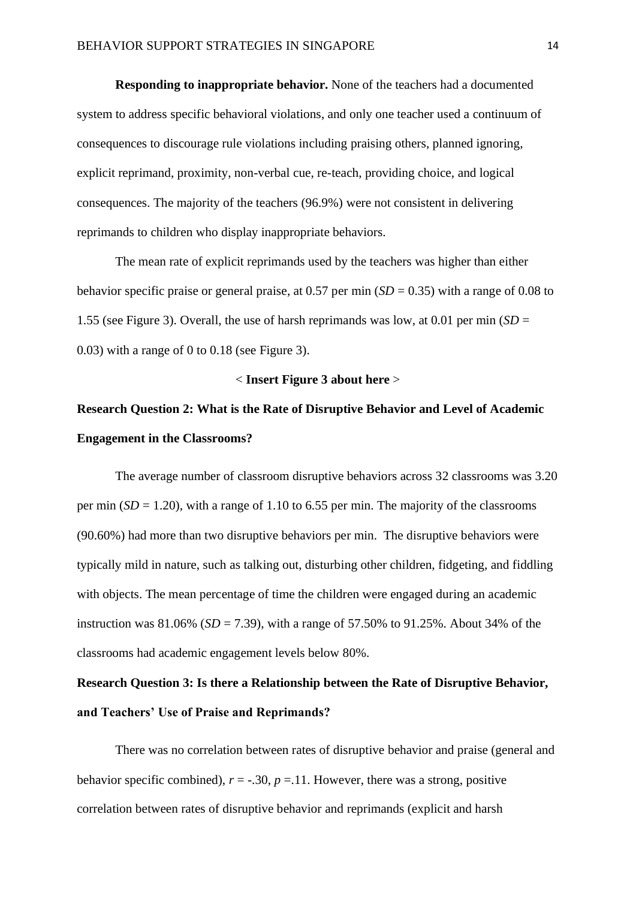**Responding to inappropriate behavior.** None of the teachers had a documented system to address specific behavioral violations, and only one teacher used a continuum of consequences to discourage rule violations including praising others, planned ignoring, explicit reprimand, proximity, non-verbal cue, re-teach, providing choice, and logical consequences. The majority of the teachers (96.9%) were not consistent in delivering reprimands to children who display inappropriate behaviors.

The mean rate of explicit reprimands used by the teachers was higher than either behavior specific praise or general praise, at  $0.57$  per min  $(SD = 0.35)$  with a range of 0.08 to 1.55 (see Figure 3). Overall, the use of harsh reprimands was low, at 0.01 per min (*SD* = 0.03) with a range of 0 to 0.18 (see Figure 3).

# < **Insert Figure 3 about here** >

# **Research Question 2: What is the Rate of Disruptive Behavior and Level of Academic Engagement in the Classrooms?**

The average number of classroom disruptive behaviors across 32 classrooms was 3.20 per min  $(SD = 1.20)$ , with a range of 1.10 to 6.55 per min. The majority of the classrooms (90.60%) had more than two disruptive behaviors per min. The disruptive behaviors were typically mild in nature, such as talking out, disturbing other children, fidgeting, and fiddling with objects. The mean percentage of time the children were engaged during an academic instruction was 81.06% ( $SD = 7.39$ ), with a range of 57.50% to 91.25%. About 34% of the classrooms had academic engagement levels below 80%.

# **Research Question 3: Is there a Relationship between the Rate of Disruptive Behavior, and Teachers' Use of Praise and Reprimands?**

There was no correlation between rates of disruptive behavior and praise (general and behavior specific combined),  $r = -30$ ,  $p = 11$ . However, there was a strong, positive correlation between rates of disruptive behavior and reprimands (explicit and harsh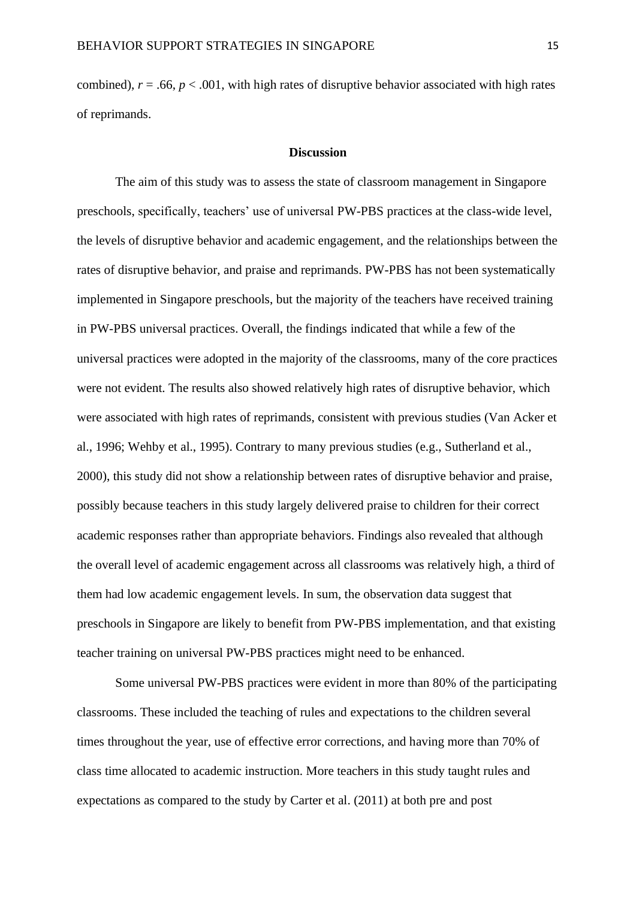combined),  $r = .66$ ,  $p < .001$ , with high rates of disruptive behavior associated with high rates of reprimands.

# **Discussion**

The aim of this study was to assess the state of classroom management in Singapore preschools, specifically, teachers' use of universal PW-PBS practices at the class-wide level, the levels of disruptive behavior and academic engagement, and the relationships between the rates of disruptive behavior, and praise and reprimands. PW-PBS has not been systematically implemented in Singapore preschools, but the majority of the teachers have received training in PW-PBS universal practices. Overall, the findings indicated that while a few of the universal practices were adopted in the majority of the classrooms, many of the core practices were not evident. The results also showed relatively high rates of disruptive behavior, which were associated with high rates of reprimands, consistent with previous studies (Van Acker et al., 1996; Wehby et al., 1995). Contrary to many previous studies (e.g., Sutherland et al., 2000), this study did not show a relationship between rates of disruptive behavior and praise, possibly because teachers in this study largely delivered praise to children for their correct academic responses rather than appropriate behaviors. Findings also revealed that although the overall level of academic engagement across all classrooms was relatively high, a third of them had low academic engagement levels. In sum, the observation data suggest that preschools in Singapore are likely to benefit from PW-PBS implementation, and that existing teacher training on universal PW-PBS practices might need to be enhanced.

Some universal PW-PBS practices were evident in more than 80% of the participating classrooms. These included the teaching of rules and expectations to the children several times throughout the year, use of effective error corrections, and having more than 70% of class time allocated to academic instruction. More teachers in this study taught rules and expectations as compared to the study by Carter et al. (2011) at both pre and post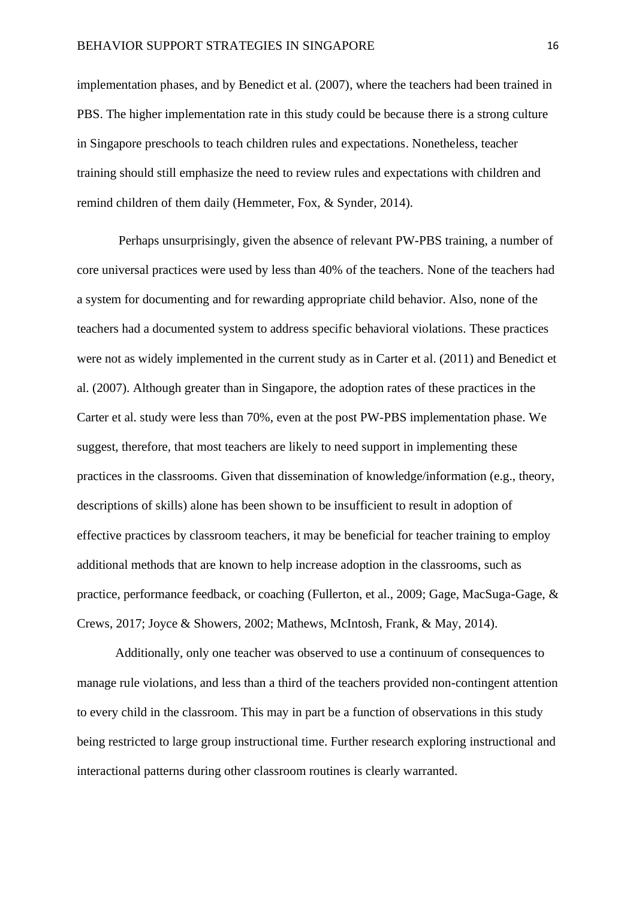implementation phases, and by Benedict et al. (2007), where the teachers had been trained in PBS. The higher implementation rate in this study could be because there is a strong culture in Singapore preschools to teach children rules and expectations. Nonetheless, teacher training should still emphasize the need to review rules and expectations with children and remind children of them daily (Hemmeter, Fox, & Synder, 2014).

Perhaps unsurprisingly, given the absence of relevant PW-PBS training, a number of core universal practices were used by less than 40% of the teachers. None of the teachers had a system for documenting and for rewarding appropriate child behavior. Also, none of the teachers had a documented system to address specific behavioral violations. These practices were not as widely implemented in the current study as in Carter et al. (2011) and Benedict et al. (2007). Although greater than in Singapore, the adoption rates of these practices in the Carter et al. study were less than 70%, even at the post PW-PBS implementation phase. We suggest, therefore, that most teachers are likely to need support in implementing these practices in the classrooms. Given that dissemination of knowledge/information (e.g., theory, descriptions of skills) alone has been shown to be insufficient to result in adoption of effective practices by classroom teachers, it may be beneficial for teacher training to employ additional methods that are known to help increase adoption in the classrooms, such as practice, performance feedback, or coaching (Fullerton, et al., 2009; Gage, MacSuga-Gage, & Crews, 2017; Joyce & Showers, 2002; Mathews, McIntosh, Frank, & May, 2014).

Additionally, only one teacher was observed to use a continuum of consequences to manage rule violations, and less than a third of the teachers provided non-contingent attention to every child in the classroom. This may in part be a function of observations in this study being restricted to large group instructional time. Further research exploring instructional and interactional patterns during other classroom routines is clearly warranted.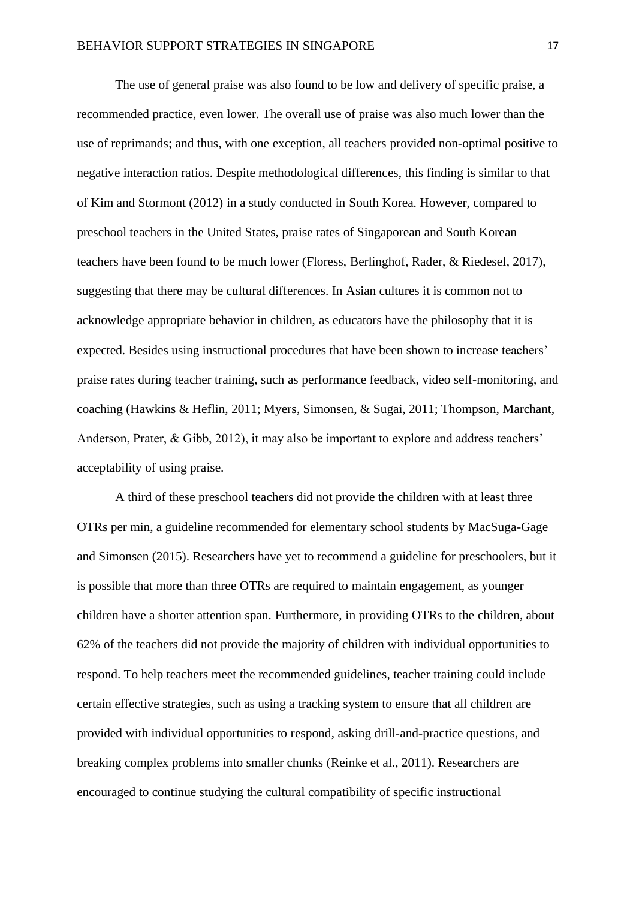The use of general praise was also found to be low and delivery of specific praise, a recommended practice, even lower. The overall use of praise was also much lower than the use of reprimands; and thus, with one exception, all teachers provided non-optimal positive to negative interaction ratios. Despite methodological differences, this finding is similar to that of Kim and Stormont (2012) in a study conducted in South Korea. However, compared to preschool teachers in the United States, praise rates of Singaporean and South Korean teachers have been found to be much lower (Floress, Berlinghof, Rader, & Riedesel, 2017), suggesting that there may be cultural differences. In Asian cultures it is common not to acknowledge appropriate behavior in children, as educators have the philosophy that it is expected. Besides using instructional procedures that have been shown to increase teachers' praise rates during teacher training, such as performance feedback, video self-monitoring, and coaching (Hawkins & Heflin, 2011; Myers, Simonsen, & Sugai, 2011; Thompson, Marchant, Anderson, Prater, & Gibb, 2012), it may also be important to explore and address teachers' acceptability of using praise.

A third of these preschool teachers did not provide the children with at least three OTRs per min, a guideline recommended for elementary school students by MacSuga-Gage and Simonsen (2015). Researchers have yet to recommend a guideline for preschoolers, but it is possible that more than three OTRs are required to maintain engagement, as younger children have a shorter attention span. Furthermore, in providing OTRs to the children, about 62% of the teachers did not provide the majority of children with individual opportunities to respond. To help teachers meet the recommended guidelines, teacher training could include certain effective strategies, such as using a tracking system to ensure that all children are provided with individual opportunities to respond, asking drill-and-practice questions, and breaking complex problems into smaller chunks (Reinke et al., 2011). Researchers are encouraged to continue studying the cultural compatibility of specific instructional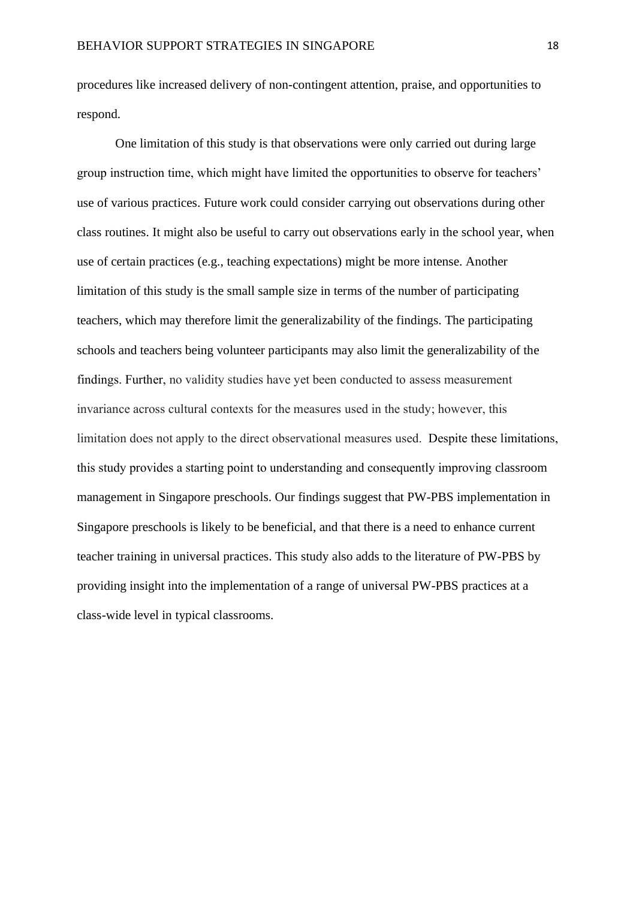procedures like increased delivery of non-contingent attention, praise, and opportunities to respond.

One limitation of this study is that observations were only carried out during large group instruction time, which might have limited the opportunities to observe for teachers' use of various practices. Future work could consider carrying out observations during other class routines. It might also be useful to carry out observations early in the school year, when use of certain practices (e.g., teaching expectations) might be more intense. Another limitation of this study is the small sample size in terms of the number of participating teachers, which may therefore limit the generalizability of the findings. The participating schools and teachers being volunteer participants may also limit the generalizability of the findings. Further, no validity studies have yet been conducted to assess measurement invariance across cultural contexts for the measures used in the study; however, this limitation does not apply to the direct observational measures used. Despite these limitations, this study provides a starting point to understanding and consequently improving classroom management in Singapore preschools. Our findings suggest that PW-PBS implementation in Singapore preschools is likely to be beneficial, and that there is a need to enhance current teacher training in universal practices. This study also adds to the literature of PW-PBS by providing insight into the implementation of a range of universal PW-PBS practices at a class-wide level in typical classrooms.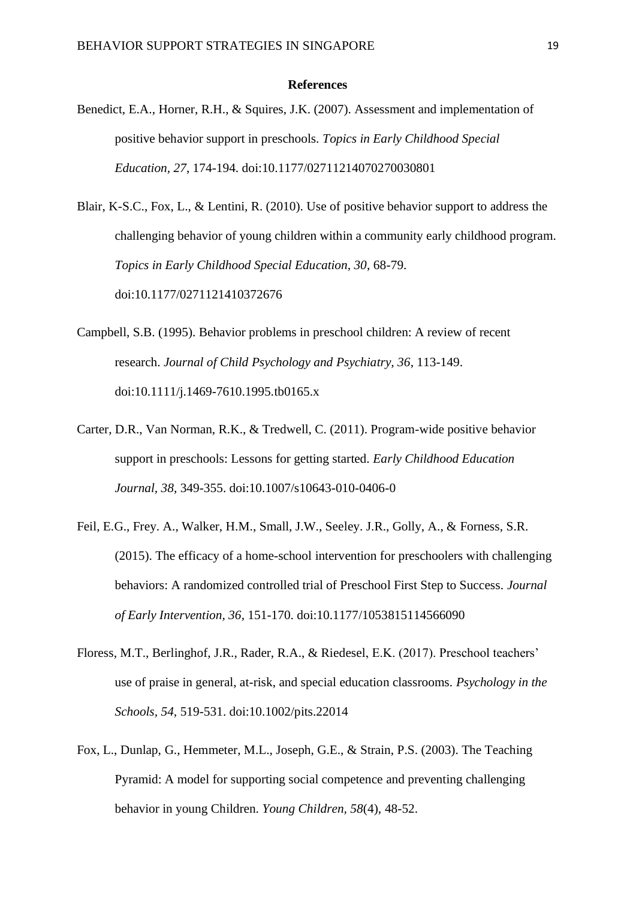#### **References**

- Benedict, E.A., Horner, R.H., & Squires, J.K. (2007). Assessment and implementation of positive behavior support in preschools. *Topics in Early Childhood Special Education, 27*, 174-194. doi:10.1177/02711214070270030801
- Blair, K-S.C., Fox, L., & Lentini, R. (2010). Use of positive behavior support to address the challenging behavior of young children within a community early childhood program. *Topics in Early Childhood Special Education, 30*, 68-79. doi:10.1177/0271121410372676
- Campbell, S.B. (1995). Behavior problems in preschool children: A review of recent research. *Journal of Child Psychology and Psychiatry, 36*, 113-149. doi:10.1111/j.1469-7610.1995.tb0165.x
- Carter, D.R., Van Norman, R.K., & Tredwell, C. (2011). Program-wide positive behavior support in preschools: Lessons for getting started. *Early Childhood Education Journal, 38*, 349-355. doi:10.1007/s10643-010-0406-0
- Feil, E.G., Frey. A., Walker, H.M., Small, J.W., Seeley. J.R., Golly, A., & Forness, S.R. (2015). The efficacy of a home-school intervention for preschoolers with challenging behaviors: A randomized controlled trial of Preschool First Step to Success. *Journal of Early Intervention, 36*, 151-170. doi:10.1177/1053815114566090
- Floress, M.T., Berlinghof, J.R., Rader, R.A., & Riedesel, E.K. (2017). Preschool teachers' use of praise in general, at-risk, and special education classrooms. *Psychology in the Schools, 54,* 519-531. doi:10.1002/pits.22014
- Fox, L., Dunlap, G., Hemmeter, M.L., Joseph, G.E., & Strain, P.S. (2003). The Teaching Pyramid: A model for supporting social competence and preventing challenging behavior in young Children. *Young Children, 58*(4), 48-52.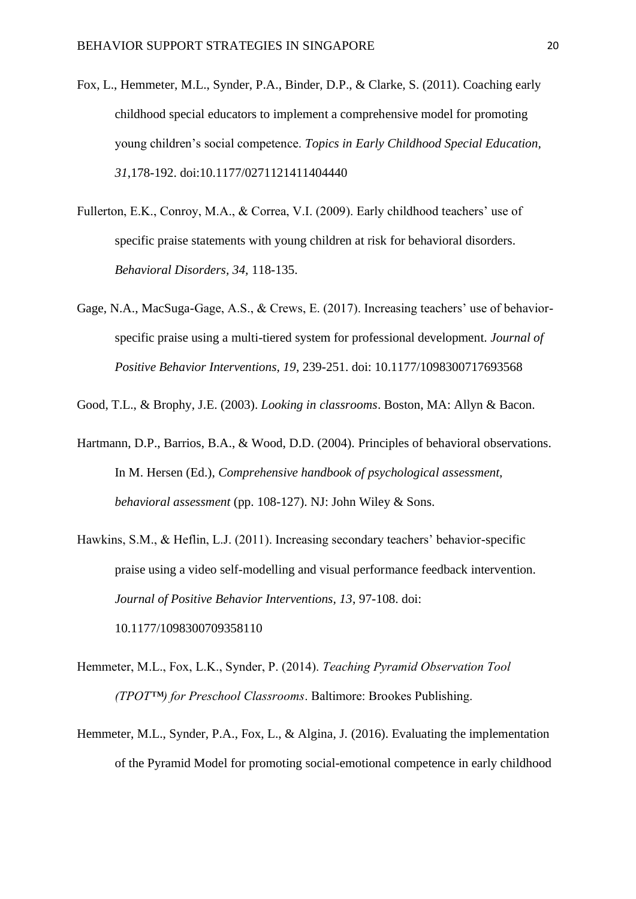- Fox, L., Hemmeter, M.L., Synder, P.A., Binder, D.P., & Clarke, S. (2011). Coaching early childhood special educators to implement a comprehensive model for promoting young children's social competence. *Topics in Early Childhood Special Education, 31*,178-192. doi:10.1177/0271121411404440
- Fullerton, E.K., Conroy, M.A., & Correa, V.I. (2009). Early childhood teachers' use of specific praise statements with young children at risk for behavioral disorders. *Behavioral Disorders, 34,* 118-135.
- Gage, N.A., MacSuga-Gage, A.S., & Crews, E. (2017). Increasing teachers' use of behaviorspecific praise using a multi-tiered system for professional development. *Journal of Positive Behavior Interventions, 19*, 239-251. doi: 10.1177/1098300717693568
- Good, T.L., & Brophy, J.E. (2003). *Looking in classrooms*. Boston, MA: Allyn & Bacon.
- Hartmann, D.P., Barrios, B.A., & Wood, D.D. (2004). Principles of behavioral observations. In M. Hersen (Ed.), *Comprehensive handbook of psychological assessment, behavioral assessment* (pp. 108-127). NJ: John Wiley & Sons.
- Hawkins, S.M., & Heflin, L.J. (2011). Increasing secondary teachers' behavior-specific praise using a video self-modelling and visual performance feedback intervention. *Journal of Positive Behavior Interventions, 13*, 97-108. doi: 10.1177/1098300709358110
- Hemmeter, M.L., Fox, L.K., Synder, P. (2014). *Teaching Pyramid Observation Tool (TPOT™) for Preschool Classrooms*. Baltimore: Brookes Publishing.
- Hemmeter, M.L., Synder, P.A., Fox, L., & Algina, J. (2016). Evaluating the implementation of the Pyramid Model for promoting social-emotional competence in early childhood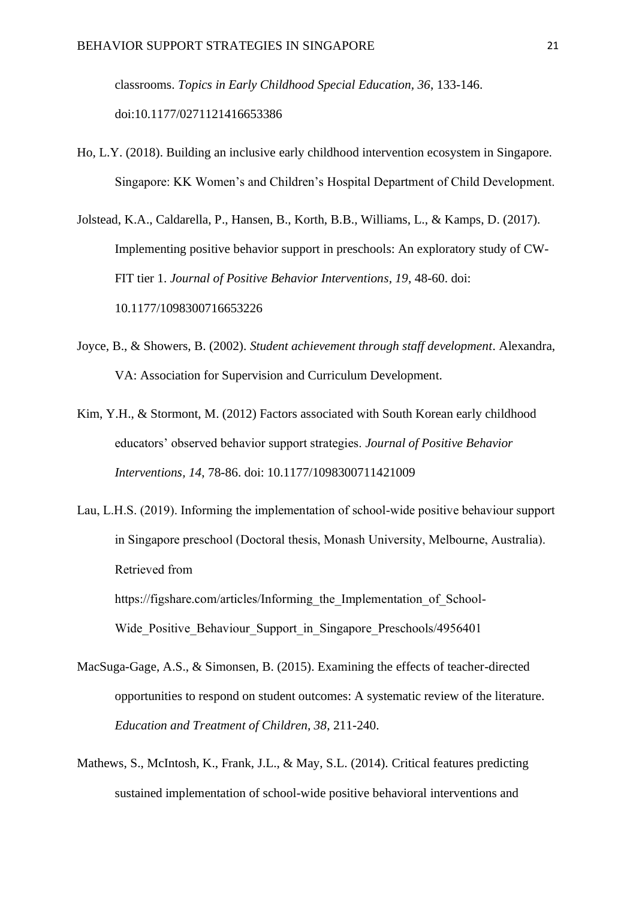classrooms. *Topics in Early Childhood Special Education, 36*, 133-146. doi:10.1177/0271121416653386

- Ho, L.Y. (2018). Building an inclusive early childhood intervention ecosystem in Singapore. Singapore: KK Women's and Children's Hospital Department of Child Development.
- Jolstead, K.A., Caldarella, P., Hansen, B., Korth, B.B., Williams, L., & Kamps, D. (2017). Implementing positive behavior support in preschools: An exploratory study of CW-FIT tier 1. *Journal of Positive Behavior Interventions, 19*, 48-60. doi: 10.1177/1098300716653226
- Joyce, B., & Showers, B. (2002). *Student achievement through staff development*. Alexandra, VA: Association for Supervision and Curriculum Development.
- Kim, Y.H., & Stormont, M. (2012) Factors associated with South Korean early childhood educators' observed behavior support strategies. *Journal of Positive Behavior Interventions, 14*, 78-86. doi: 10.1177/1098300711421009
- Lau, L.H.S. (2019). Informing the implementation of school-wide positive behaviour support in Singapore preschool (Doctoral thesis, Monash University, Melbourne, Australia). Retrieved from https://figshare.com/articles/Informing the Implementation of School-Wide Positive Behaviour Support in Singapore Preschools/4956401
- MacSuga-Gage, A.S., & Simonsen, B. (2015). Examining the effects of teacher-directed opportunities to respond on student outcomes: A systematic review of the literature. *Education and Treatment of Children, 38*, 211-240.
- Mathews, S., McIntosh, K., Frank, J.L., & May, S.L. (2014). Critical features predicting sustained implementation of school-wide positive behavioral interventions and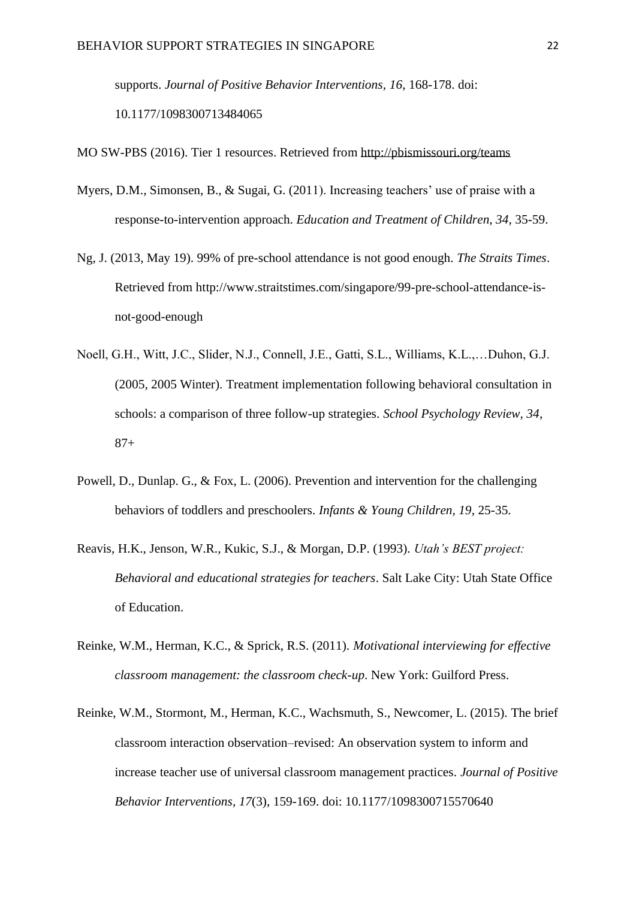supports. *Journal of Positive Behavior Interventions, 16*, 168-178. doi: 10.1177/1098300713484065

MO SW-PBS (2016). Tier 1 resources. Retrieved from<http://pbismissouri.org/teams>

- Myers, D.M., Simonsen, B., & Sugai, G. (2011). Increasing teachers' use of praise with a response-to-intervention approach. *Education and Treatment of Children, 34,* 35-59.
- Ng, J. (2013, May 19). 99% of pre-school attendance is not good enough. *The Straits Times*. Retrieved from http://www.straitstimes.com/singapore/99-pre-school-attendance-isnot-good-enough
- Noell, G.H., Witt, J.C., Slider, N.J., Connell, J.E., Gatti, S.L., Williams, K.L.,…Duhon, G.J. (2005, 2005 Winter). Treatment implementation following behavioral consultation in schools: a comparison of three follow-up strategies. *School Psychology Review, 34*, 87+
- Powell, D., Dunlap. G., & Fox, L. (2006). Prevention and intervention for the challenging behaviors of toddlers and preschoolers. *Infants & Young Children, 19*, 25-35.
- Reavis, H.K., Jenson, W.R., Kukic, S.J., & Morgan, D.P. (1993). *Utah's BEST project: Behavioral and educational strategies for teachers*. Salt Lake City: Utah State Office of Education.
- Reinke, W.M., Herman, K.C., & Sprick, R.S. (2011). *Motivational interviewing for effective classroom management: the classroom check-up*. New York: Guilford Press.
- Reinke, W.M., Stormont, M., Herman, K.C., Wachsmuth, S., Newcomer, L. (2015). The brief classroom interaction observation–revised: An observation system to inform and increase teacher use of universal classroom management practices. *Journal of Positive Behavior Interventions, 17*(3), 159-169. doi: 10.1177/1098300715570640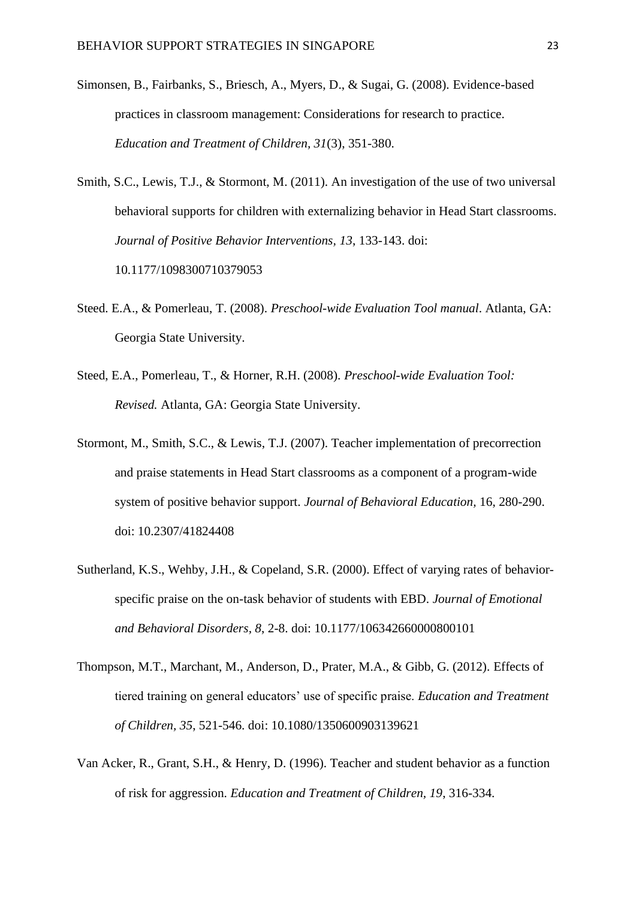- Simonsen, B., Fairbanks, S., Briesch, A., Myers, D., & Sugai, G. (2008). Evidence-based practices in classroom management: Considerations for research to practice. *Education and Treatment of Children, 31*(3), 351-380.
- Smith, S.C., Lewis, T.J., & Stormont, M. (2011). An investigation of the use of two universal behavioral supports for children with externalizing behavior in Head Start classrooms. *Journal of Positive Behavior Interventions, 13*, 133-143. doi: 10.1177/1098300710379053
- Steed. E.A., & Pomerleau, T. (2008). *Preschool-wide Evaluation Tool manual*. Atlanta, GA: Georgia State University.
- Steed, E.A., Pomerleau, T., & Horner, R.H. (2008). *Preschool-wide Evaluation Tool: Revised.* Atlanta, GA: Georgia State University.
- Stormont, M., Smith, S.C., & Lewis, T.J. (2007). Teacher implementation of precorrection and praise statements in Head Start classrooms as a component of a program-wide system of positive behavior support. *Journal of Behavioral Education,* 16, 280-290. doi: 10.2307/41824408
- Sutherland, K.S., Wehby, J.H., & Copeland, S.R. (2000). Effect of varying rates of behaviorspecific praise on the on-task behavior of students with EBD. *Journal of Emotional and Behavioral Disorders, 8*, 2-8. doi: 10.1177/106342660000800101
- Thompson, M.T., Marchant, M., Anderson, D., Prater, M.A., & Gibb, G. (2012). Effects of tiered training on general educators' use of specific praise. *Education and Treatment of Children, 35*, 521-546. doi: 10.1080/1350600903139621
- Van Acker, R., Grant, S.H., & Henry, D. (1996). Teacher and student behavior as a function of risk for aggression. *Education and Treatment of Children, 19*, 316-334.